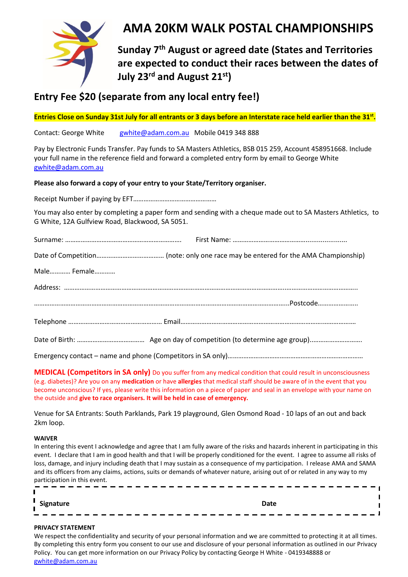

# **AMA 20KM WALK POSTAL CHAMPIONSHIPS**

**Sunday 7 th August or agreed date (States and Territories are expected to conduct their races between the dates of July 23rd and August 21st)**

# **Entry Fee \$20 (separate from any local entry fee!)**

**Entries Close on Sunday 31st July for all entrants or 3 days before an Interstate race held earlier than the 31 st .**

Contact: George White [gwhite@adam.com.au](mailto:gwhite@adam.com.au) Mobile 0419 348 888

Pay by Electronic Funds Transfer. Pay funds to SA Masters Athletics, BSB 015 259, Account 458951668. Include your full name in the reference field and forward a completed entry form by email to George White [gwhite@adam.com.au](mailto:gwhite@adam.com.au) 

# **Please also forward a copy of your entry to your State/Territory organiser.**

Receipt Number if paying by EFT…………………………………………

You may also enter by completing a paper form and sending with a cheque made out to SA Masters Athletics, to G White, 12A Gulfview Road, Blackwood, SA 5051.

| Male Female |                                                                                                                           |
|-------------|---------------------------------------------------------------------------------------------------------------------------|
|             |                                                                                                                           |
|             |                                                                                                                           |
|             |                                                                                                                           |
|             |                                                                                                                           |
|             | $F_{\mu\nu}$ excess the sentent region of the second relation $(\mathcal{C}_{\mu\nu})$ in $(\mathcal{C}_{\mu}$ and $\mu)$ |

Emergency contact – name and phone (Competitors in SA only)……………………………………………………………………

**MEDICAL (Competitors in SA only)** Do you suffer from any medical condition that could result in unconsciousness (e.g. diabetes)? Are you on any **medication** or have **allergies** that medical staff should be aware of in the event that you become unconscious? If yes, please write this information on a piece of paper and seal in an envelope with your name on the outside and **give to race organisers. It will be held in case of emergency.**

Venue for SA Entrants: South Parklands, Park 19 playground, Glen Osmond Road - 10 laps of an out and back 2km loop.

#### **WAIVER**

In entering this event I acknowledge and agree that I am fully aware of the risks and hazards inherent in participating in this event. I declare that I am in good health and that I will be properly conditioned for the event. I agree to assume all risks of loss, damage, and injury including death that I may sustain as a consequence of my participation. I release AMA and SAMA and its officers from any claims, actions, suits or demands of whatever nature, arising out of or related in any way to my participation in this event. - - - - - - - - - - $- - - - -$ 

#### **PRIVACY STATEMENT**

We respect the confidentiality and security of your personal information and we are committed to protecting it at all times. By completing this entry form you consent to our use and disclosure of your personal information as outlined in our Privacy Policy. You can get more information on our Privacy Policy by contacting George H White - 0419348888 or [gwhite@adam.com.au](mailto:gwhite@adam.com.au)